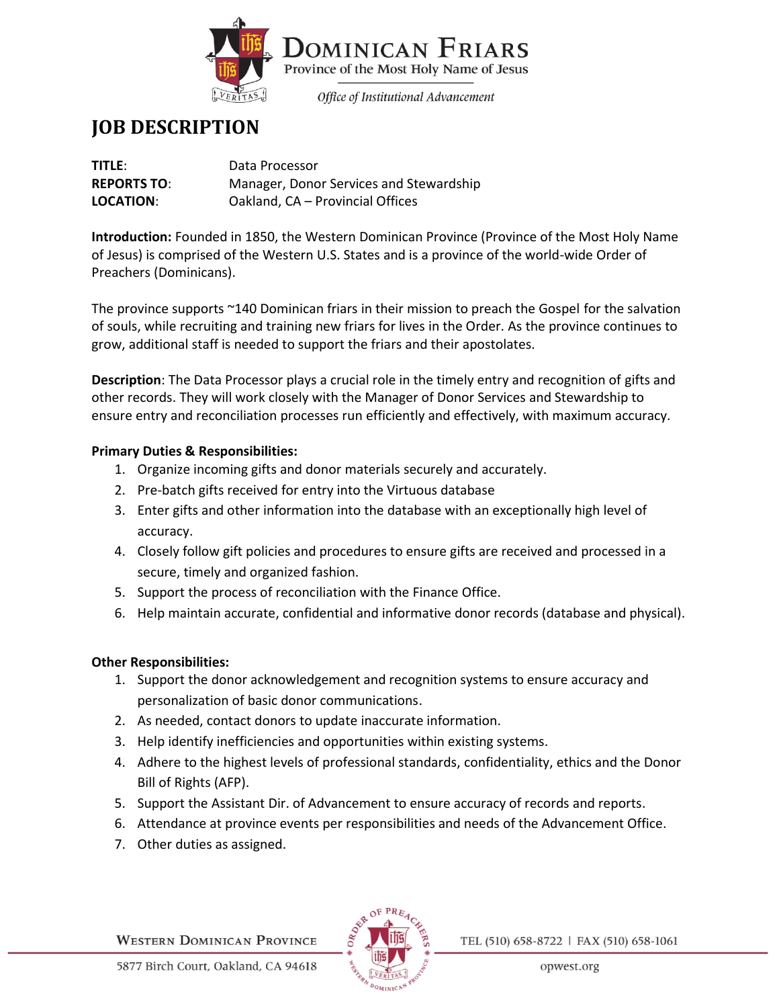

# **JOB DESCRIPTION**

| TITLE:             | Data Processor                          |
|--------------------|-----------------------------------------|
| <b>REPORTS TO:</b> | Manager, Donor Services and Stewardship |
| LOCATION:          | Oakland, CA - Provincial Offices        |

**Introduction:** Founded in 1850, the Western Dominican Province (Province of the Most Holy Name of Jesus) is comprised of the Western U.S. States and is a province of the world-wide Order of Preachers (Dominicans).

The province supports ~140 Dominican friars in their mission to preach the Gospel for the salvation of souls, while recruiting and training new friars for lives in the Order. As the province continues to grow, additional staff is needed to support the friars and their apostolates.

**Description**: The Data Processor plays a crucial role in the timely entry and recognition of gifts and other records. They will work closely with the Manager of Donor Services and Stewardship to ensure entry and reconciliation processes run efficiently and effectively, with maximum accuracy.

## **Primary Duties & Responsibilities:**

- 1. Organize incoming gifts and donor materials securely and accurately.
- 2. Pre-batch gifts received for entry into the Virtuous database
- 3. Enter gifts and other information into the database with an exceptionally high level of accuracy.
- 4. Closely follow gift policies and procedures to ensure gifts are received and processed in a secure, timely and organized fashion.
- 5. Support the process of reconciliation with the Finance Office.
- 6. Help maintain accurate, confidential and informative donor records (database and physical).

### **Other Responsibilities:**

- 1. Support the donor acknowledgement and recognition systems to ensure accuracy and personalization of basic donor communications.
- 2. As needed, contact donors to update inaccurate information.
- 3. Help identify inefficiencies and opportunities within existing systems.
- 4. Adhere to the highest levels of professional standards, confidentiality, ethics and the Donor Bill of Rights (AFP).
- 5. Support the Assistant Dir. of Advancement to ensure accuracy of records and reports.
- 6. Attendance at province events per responsibilities and needs of the Advancement Office.
- 7. Other duties as assigned.

**WESTERN DOMINICAN PROVINCE** 



TEL (510) 658-8722 | FAX (510) 658-1061